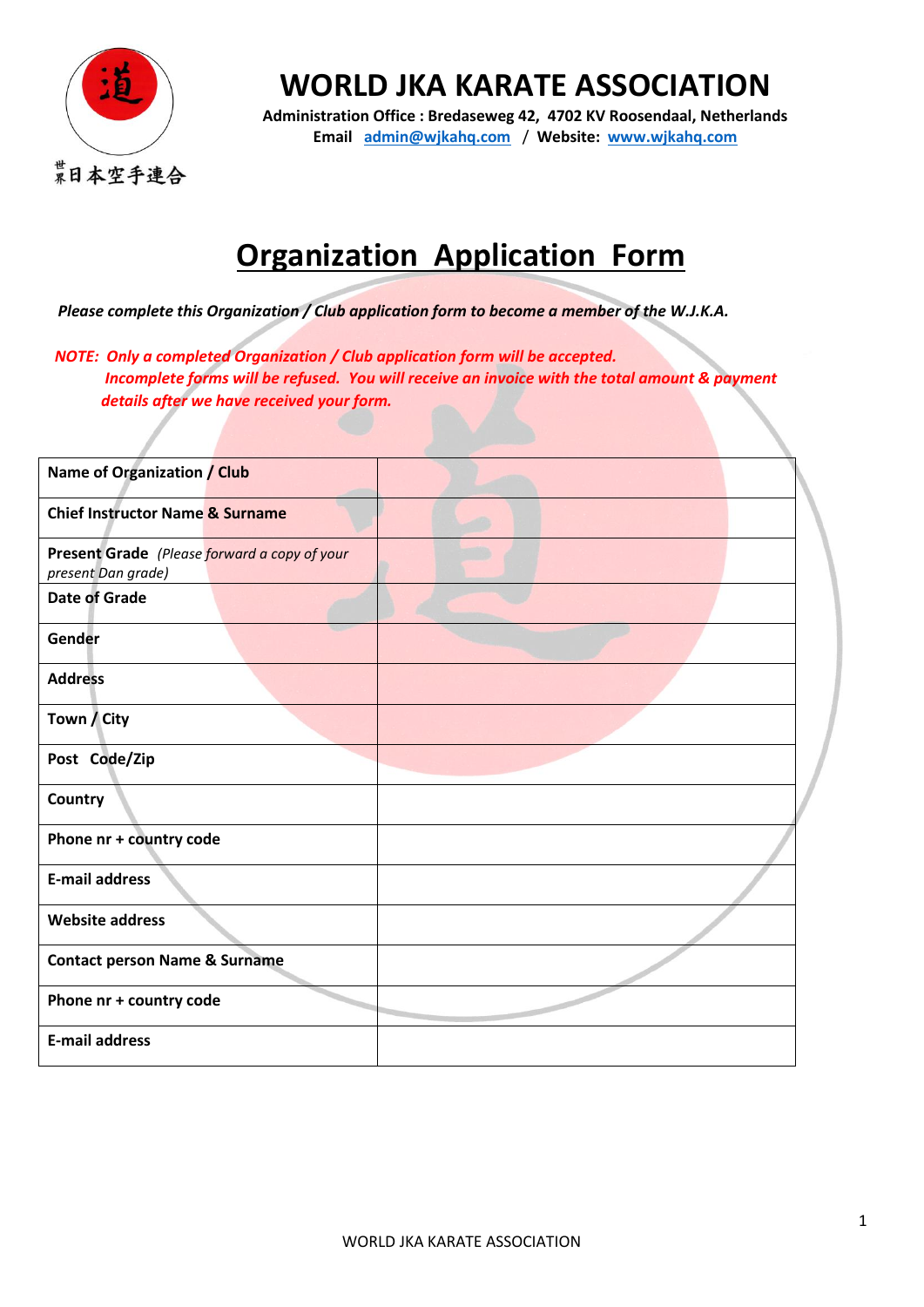

## **WORLD JKA KARATE ASSOCIATION**

**Administration Office : Bredaseweg 42, 4702 KV Roosendaal, Netherlands Email [admin@wjkahq.com](mailto:admin@wjkahq.com)** / **Website: [www.wjkahq.com](http://www.wjkahq.com/)**

## **Organization Application Form**

*Please complete this Organization / Club application form to become a member of the W.J.K.A.* 

*NOTE: Only a completed Organization / Club application form will be accepted. Incomplete forms will be refused. You will receive an invoice with the total amount & payment details after we have received your form.*

| Name of Organization / Club                                        |  |
|--------------------------------------------------------------------|--|
| <b>Chief Instructor Name &amp; Surname</b>                         |  |
| Present Grade (Please forward a copy of your<br>present Dan grade) |  |
| <b>Date of Grade</b>                                               |  |
| Gender                                                             |  |
| <b>Address</b>                                                     |  |
| Town / City                                                        |  |
| Post Code/Zip                                                      |  |
| Country                                                            |  |
| Phone nr + country code                                            |  |
| <b>E-mail address</b>                                              |  |
| <b>Website address</b>                                             |  |
| <b>Contact person Name &amp; Surname</b>                           |  |
| Phone nr + country code                                            |  |
| <b>E-mail address</b>                                              |  |
|                                                                    |  |